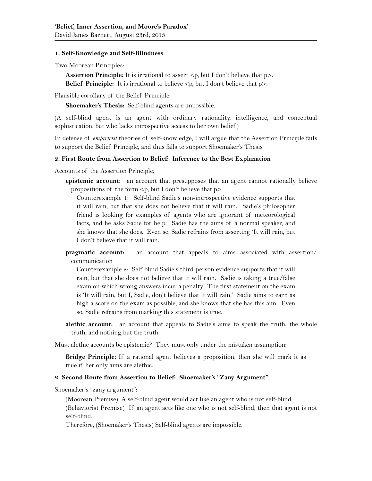## **1. Self-Knowledge and Self-Blindness**

Two Moorean Principles:

**Assertion Principle:** It is irrational to assert  $\langle p, p \rangle$  but I don't believe that  $p$ . **Belief Principle:** It is irrational to believe  $\langle p, \text{ but I }\rangle$  don't believe that  $p$ .

Plausible corollary of the Belief Principle:

**Shoemaker's Thesis:** Self-blind agents are impossible.

(A self-blind agent is an agent with ordinary rationality, intelligence, and conceptual sophistication, but who lacks introspective access to her own belief.)

In defense of *empiricist* theories of self-knowledge, I will argue that the Assertion Principle fails to support the Belief Principle, and thus fails to support Shoemaker's Thesis.

## **2. First Route from Assertion to Belief: Inference to the Best Explanation**

Accounts of the Assertion Principle:

**epistemic account:** an account that presupposes that an agent cannot rationally believe propositions of the form  $\leq p$ , but I don't believe that  $p$ 

Counterexample 1: Self-blind Sadie's non-introspective evidence supports that it will rain, but that she does not believe that it will rain. Sadie's philosopher friend is looking for examples of agents who are ignorant of meteorological facts, and he asks Sadie for help. Sadie has the aims of a normal speaker, and she knows that she does. Even so, Sadie refrains from asserting 'It will rain, but I don't believe that it will rain.'

**pragmatic account:** an account that appeals to aims associated with assertion/ communication

Counterexample 2:Self-blind Sadie's third-person evidence supports that it will rain, but that she does not believe that it will rain. Sadie is taking a true/false exam on which wrong answers incur a penalty. The first statement on the exam is 'It will rain, but I, Sadie, don't believe that it will rain.' Sadie aims to earn as high a score on the exam as possible, and she knows that she has this aim. Even so, Sadie refrains from marking this statement is true.

**alethic account:** an account that appeals to Sadie's aims to speak the truth, the whole truth, and nothing but the truth

Must alethic accounts be epistemic? They must only under the mistaken assumption:

**Bridge Principle:** If a rational agent believes a proposition, then she will mark it as true if her only aims are alethic.

## **2. Second Route from Assertion to Belief: Shoemaker's "Zany Argument"**

Shoemaker's "zany argument":

(Moorean Premise) A self-blind agent would act like an agent who is not self-blind. (Behaviorist Premise) If an agent acts like one who is not self-blind, then that agent is not self-blind.

Therefore, (Shoemaker's Thesis) Self-blind agents are impossible.